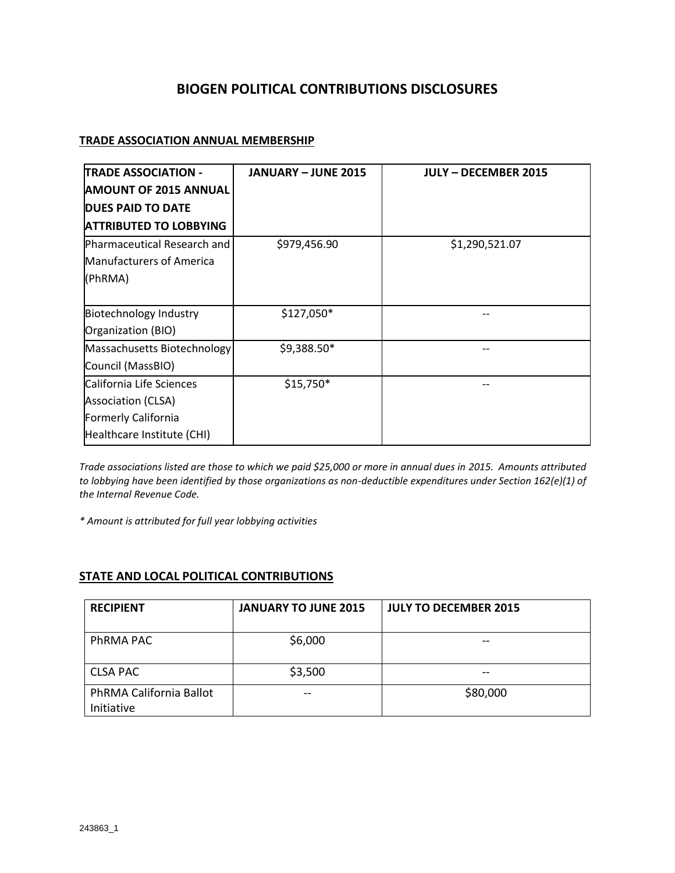## **BIOGEN POLITICAL CONTRIBUTIONS DISCLOSURES**

## **TRADE ASSOCIATION ANNUAL MEMBERSHIP**

| <b>TRADE ASSOCIATION -</b>      | <b>JANUARY - JUNE 2015</b> | <b>JULY - DECEMBER 2015</b> |
|---------------------------------|----------------------------|-----------------------------|
| <b>AMOUNT OF 2015 ANNUAL</b>    |                            |                             |
| <b>DUES PAID TO DATE</b>        |                            |                             |
| <b>ATTRIBUTED TO LOBBYING</b>   |                            |                             |
| Pharmaceutical Research and     | \$979,456.90               | \$1,290,521.07              |
| <b>Manufacturers of America</b> |                            |                             |
| (PhRMA)                         |                            |                             |
|                                 |                            |                             |
| <b>Biotechnology Industry</b>   | \$127,050*                 |                             |
| Organization (BIO)              |                            |                             |
| Massachusetts Biotechnology     | \$9,388.50*                |                             |
| Council (MassBIO)               |                            |                             |
| California Life Sciences        | $$15,750*$                 |                             |
| <b>Association (CLSA)</b>       |                            |                             |
| Formerly California             |                            |                             |
| Healthcare Institute (CHI)      |                            |                             |

*Trade associations listed are those to which we paid \$25,000 or more in annual dues in 2015. Amounts attributed to lobbying have been identified by those organizations as non-deductible expenditures under Section 162(e)(1) of the Internal Revenue Code.*

*\* Amount is attributed for full year lobbying activities*

## **STATE AND LOCAL POLITICAL CONTRIBUTIONS**

| <b>RECIPIENT</b>                      | <b>JANUARY TO JUNE 2015</b> | <b>JULY TO DECEMBER 2015</b> |
|---------------------------------------|-----------------------------|------------------------------|
| PhRMA PAC                             | \$6,000                     | --                           |
| <b>CLSA PAC</b>                       | \$3,500                     |                              |
| PhRMA California Ballot<br>Initiative |                             | \$80,000                     |